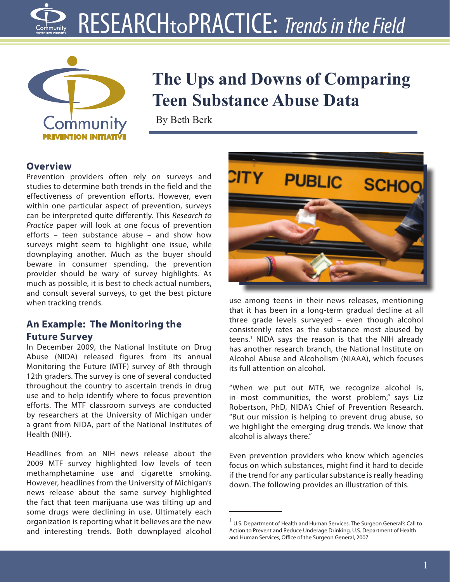# RESEARCHtoPRACTICE: *Trends in the Field*



# **The Ups and Downs of Comparing Teen Substance Abuse Data**

By Beth Berk

#### **Overview**

Prevention providers often rely on surveys and studies to determine both trends in the field and the effectiveness of prevention efforts. However, even within one particular aspect of prevention, surveys can be interpreted quite differently. This *Research to Practice* paper will look at one focus of prevention efforts – teen substance abuse – and show how surveys might seem to highlight one issue, while downplaying another. Much as the buyer should beware in consumer spending, the prevention provider should be wary of survey highlights. As much as possible, it is best to check actual numbers, and consult several surveys, to get the best picture when tracking trends.

## **An Example: The Monitoring the Future Survey**

In December 2009, the National Institute on Drug Abuse (NIDA) released figures from its annual Monitoring the Future (MTF) survey of 8th through 12th graders. The survey is one of several conducted throughout the country to ascertain trends in drug use and to help identify where to focus prevention efforts. The MTF classroom surveys are conducted by researchers at the University of Michigan under a grant from NIDA, part of the National Institutes of Health (NIH).

Headlines from an NIH news release about the 2009 MTF survey highlighted low levels of teen methamphetamine use and cigarette smoking. However, headlines from the University of Michigan's news release about the same survey highlighted the fact that teen marijuana use was tilting up and some drugs were declining in use. Ultimately each organization is reporting what it believes are the new and interesting trends. Both downplayed alcohol



use among teens in their news releases, mentioning that it has been in a long-term gradual decline at all three grade levels surveyed – even though alcohol consistently rates as the substance most abused by teens.1 NIDA says the reason is that the NIH already has another research branch, the National Institute on Alcohol Abuse and Alcoholism (NIAAA), which focuses its full attention on alcohol.

"When we put out MTF, we recognize alcohol is, in most communities, the worst problem," says Liz Robertson, PhD, NIDA's Chief of Prevention Research. "But our mission is helping to prevent drug abuse, so we highlight the emerging drug trends. We know that alcohol is always there."

Even prevention providers who know which agencies focus on which substances, might find it hard to decide if the trend for any particular substance is really heading down. The following provides an illustration of this.

<sup>&</sup>lt;sup>1</sup> U.S. Department of Health and Human Services. The Surgeon General's Call to Action to Prevent and Reduce Underage Drinking. U.S. Department of Health and Human Services, Office of the Surgeon General, 2007.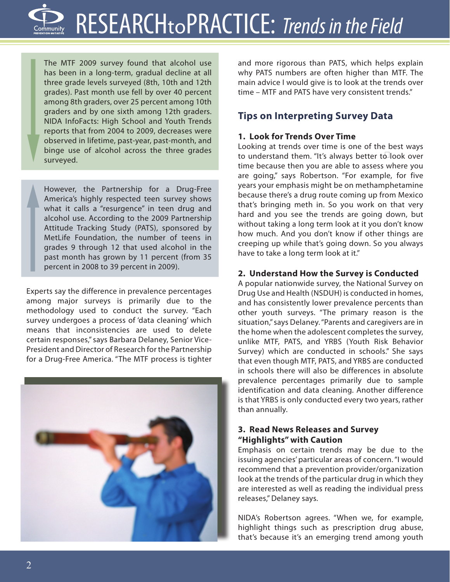The MTF 2009 survey found that alcohol use has been in a long-term, gradual decline at all three grade levels surveyed (8th, 10th and 12th grades). Past month use fell by over 40 percent among 8th graders, over 25 percent among 10th graders and by one sixth among 12th graders. NIDA InfoFacts: High School and Youth Trends reports that from 2004 to 2009, decreases were observed in lifetime, past-year, past-month, and binge use of alcohol across the three grades surveyed.

However, the Partnership for a Drug-Free America's highly respected teen survey shows what it calls a "resurgence" in teen drug and alcohol use. According to the 2009 Partnership Attitude Tracking Study (PATS), sponsored by MetLife Foundation, the number of teens in grades 9 through 12 that used alcohol in the past month has grown by 11 percent (from 35 percent in 2008 to 39 percent in 2009).

Experts say the difference in prevalence percentages among major surveys is primarily due to the methodology used to conduct the survey. "Each survey undergoes a process of 'data cleaning' which means that inconsistencies are used to delete certain responses," says Barbara Delaney, Senior Vice-President and Director of Research for the Partnership for a Drug-Free America. "The MTF process is tighter



and more rigorous than PATS, which helps explain why PATS numbers are often higher than MTF. The main advice I would give is to look at the trends over time – MTF and PATS have very consistent trends."

# **Tips on Interpreting Survey Data**

# **1. Look for Trends Over Time**

Looking at trends over time is one of the best ways to understand them. "It's always better to look over time because then you are able to assess where you are going," says Robertson. "For example, for five years your emphasis might be on methamphetamine because there's a drug route coming up from Mexico that's bringing meth in. So you work on that very hard and you see the trends are going down, but without taking a long term look at it you don't know how much. And you don't know if other things are creeping up while that's going down. So you always have to take a long term look at it."

# **2. Understand How the Survey is Conducted**

A popular nationwide survey, the National Survey on Drug Use and Health (NSDUH) is conducted in homes, and has consistently lower prevalence percents than other youth surveys. "The primary reason is the situation," says Delaney. "Parents and caregivers are in the home when the adolescent completes the survey, unlike MTF, PATS, and YRBS (Youth Risk Behavior Survey) which are conducted in schools." She says that even though MTF, PATS, and YRBS are conducted in schools there will also be differences in absolute prevalence percentages primarily due to sample identification and data cleaning. Another difference is that YRBS is only conducted every two years, rather than annually.

#### **3. Read News Releases and Survey "Highlights" with Caution**

Emphasis on certain trends may be due to the issuing agencies' particular areas of concern. "I would recommend that a prevention provider/organization look at the trends of the particular drug in which they are interested as well as reading the individual press releases," Delaney says.

NIDA's Robertson agrees. "When we, for example, highlight things such as prescription drug abuse, that's because it's an emerging trend among youth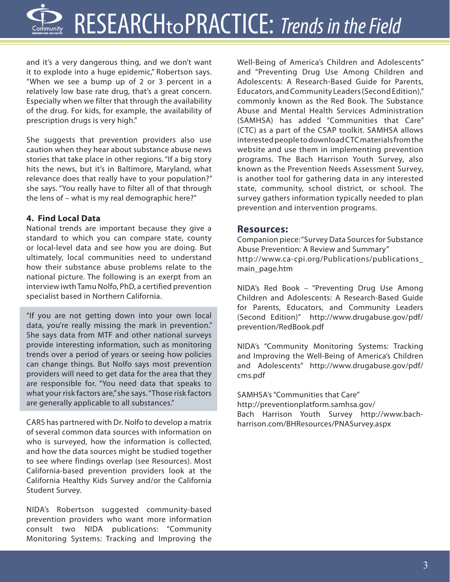and it's a very dangerous thing, and we don't want it to explode into a huge epidemic," Robertson says. "When we see a bump up of 2 or 3 percent in a relatively low base rate drug, that's a great concern. Especially when we filter that through the availability of the drug. For kids, for example, the availability of prescription drugs is very high."

She suggests that prevention providers also use caution when they hear about substance abuse news stories that take place in other regions. "If a big story hits the news, but it's in Baltimore, Maryland, what relevance does that really have to your population?" she says. "You really have to filter all of that through the lens of – what is my real demographic here?"

#### **4. Find Local Data**

National trends are important because they give a standard to which you can compare state, county or local-level data and see how you are doing. But ultimately, local communities need to understand how their substance abuse problems relate to the national picture. The following is an exerpt from an interview iwth Tamu Nolfo, PhD, a certified prevention specialist based in Northern California.

"If you are not getting down into your own local data, you're really missing the mark in prevention." She says data from MTF and other national surveys provide interesting information, such as monitoring trends over a period of years or seeing how policies can change things. But Nolfo says most prevention providers will need to get data for the area that they are responsible for. "You need data that speaks to what your risk factors are," she says. "Those risk factors are generally applicable to all substances."

CARS has partnered with Dr. Nolfo to develop a matrix of several common data sources with information on who is surveyed, how the information is collected, and how the data sources might be studied together to see where findings overlap (see Resources). Most California-based prevention providers look at the California Healthy Kids Survey and/or the California Student Survey.

NIDA's Robertson suggested community-based prevention providers who want more information consult two NIDA publications: "Community Monitoring Systems: Tracking and Improving the Well-Being of America's Children and Adolescents" and "Preventing Drug Use Among Children and Adolescents: A Research-Based Guide for Parents, Educators, and Community Leaders (Second Edition)," commonly known as the Red Book. The Substance Abuse and Mental Health Services Administration (SAMHSA) has added "Communities that Care" (CTC) as a part of the CSAP toolkit. SAMHSA allows interested people to download CTC materials from the website and use them in implementing prevention programs. The Bach Harrison Youth Survey, also known as the Prevention Needs Assessment Survey, is another tool for gathering data in any interested state, community, school district, or school. The survey gathers information typically needed to plan prevention and intervention programs.

#### **Resources:**

Companion piece: "Survey Data Sources for Substance Abuse Prevention: A Review and Summary" http://www.ca-cpi.org/Publications/publications\_ main\_page.htm

NIDA's Red Book – "Preventing Drug Use Among Children and Adolescents: A Research-Based Guide for Parents, Educators, and Community Leaders (Second Edition)" http://www.drugabuse.gov/pdf/ prevention/RedBook.pdf

NIDA's "Community Monitoring Systems: Tracking and Improving the Well-Being of America's Children and Adolescents" http://www.drugabuse.gov/pdf/ cms.pdf

SAMHSA's "Communities that Care" http://preventionplatform.samhsa.gov/ Bach Harrison Youth Survey http://www.bachharrison.com/BHResources/PNASurvey.aspx